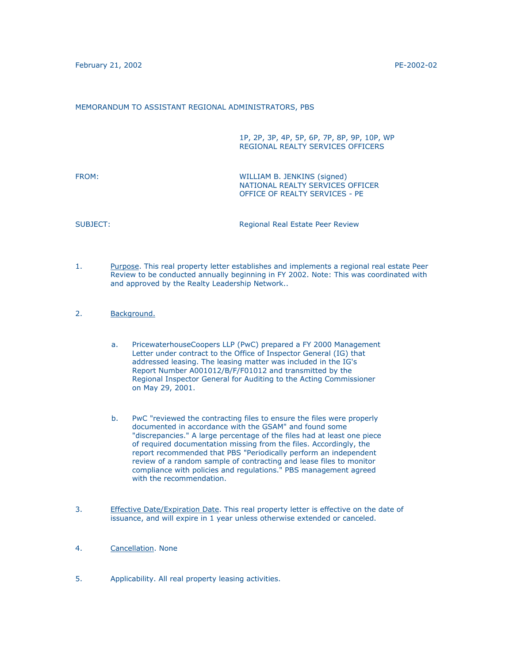## MEMORANDUM TO ASSISTANT REGIONAL ADMINISTRATORS, PBS

1P, 2P, 3P, 4P, 5P, 6P, 7P, 8P, 9P, 10P, WP REGIONAL REALTY SERVICES OFFICERS

FROM: WILLIAM B. JENKINS (signed) NATIONAL REALTY SERVICES OFFICER OFFICE OF REALTY SERVICES - PE

SUBJECT: SUBJECT: SUBJECT: SUBJECT: Regional Real Estate Peer Review

- 1. Purpose. This real property letter establishes and implements a regional real estate Peer Review to be conducted annually beginning in FY 2002. Note: This was coordinated with and approved by the Realty Leadership Network..
- 2. Background.
	- a. PricewaterhouseCoopers LLP (PwC) prepared a FY 2000 Management Letter under contract to the Office of Inspector General (IG) that addressed leasing. The leasing matter was included in the IG's Report Number A001012/B/F/F01012 and transmitted by the Regional Inspector General for Auditing to the Acting Commissioner on May 29, 2001.
	- b. PwC "reviewed the contracting files to ensure the files were properly documented in accordance with the GSAM" and found some "discrepancies." A large percentage of the files had at least one piece of required documentation missing from the files. Accordingly, the report recommended that PBS "Periodically perform an independent review of a random sample of contracting and lease files to monitor compliance with policies and regulations." PBS management agreed with the recommendation.
- 3. Effective Date/Expiration Date. This real property letter is effective on the date of issuance, and will expire in 1 year unless otherwise extended or canceled.
- 4. Cancellation. None
- 5. Applicability. All real property leasing activities.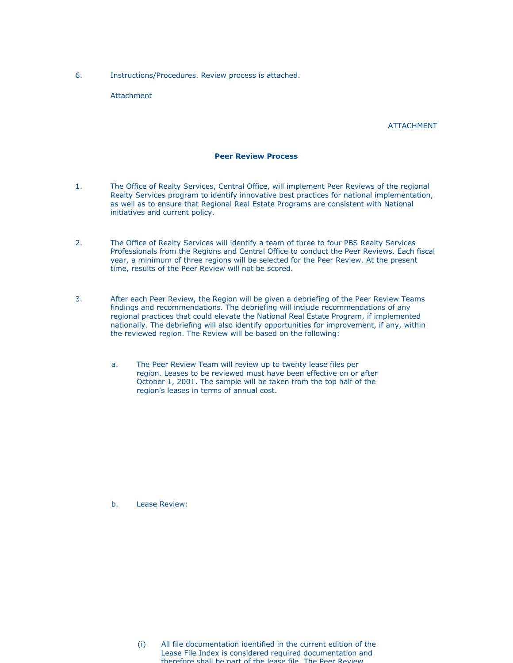6. Instructions/Procedures. Review process is attached.

Attachment

ATTACHMENT

## **Peer Review Process**

- 1. The Office of Realty Services, Central Office, will implement Peer Reviews of the regional Realty Services program to identify innovative best practices for national implementation, as well as to ensure that Regional Real Estate Programs are consistent with National initiatives and current policy.
- 2. The Office of Realty Services will identify a team of three to four PBS Realty Services Professionals from the Regions and Central Office to conduct the Peer Reviews. Each fiscal year, a minimum of three regions will be selected for the Peer Review. At the present time, results of the Peer Review will not be scored.
- 3. After each Peer Review, the Region will be given a debriefing of the Peer Review Teams findings and recommendations. The debriefing will include recommendations of any regional practices that could elevate the National Real Estate Program, if implemented nationally. The debriefing will also identify opportunities for improvement, if any, within the reviewed region. The Review will be based on the following:
	- a. The Peer Review Team will review up to twenty lease files per region. Leases to be reviewed must have been effective on or after October 1, 2001. The sample will be taken from the top half of the region's leases in terms of annual cost.

b. Lease Review:

(i) All file documentation identified in the current edition of the Lease File Index is considered required documentation and therefore shall be part of the lease file The Peer Review